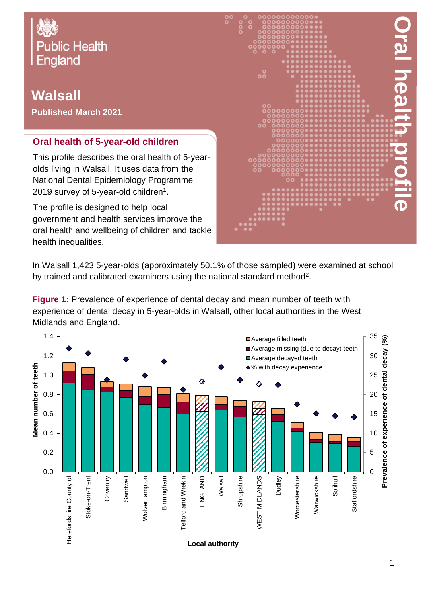

## **Walsall Published March 2021**

## **Oral health of 5-year-old children**

This profile describes the oral health of 5-yearolds living in Walsall. It uses data from the National Dental Epidemiology Programme 2019 survey of 5-year-old children $^{\rm 1}.$ 

The profile is designed to help local government and health services improve the oral health and wellbeing of children and tackle health inequalities.



In Walsall 1,423 5-year-olds (approximately 50.1% of those sampled) were examined at school by trained and calibrated examiners using the national standard method<sup>2</sup>.

**Figure 1:** Prevalence of experience of dental decay and mean number of teeth with experience of dental decay in 5-year-olds in Walsall, other local authorities in the West Midlands and England.

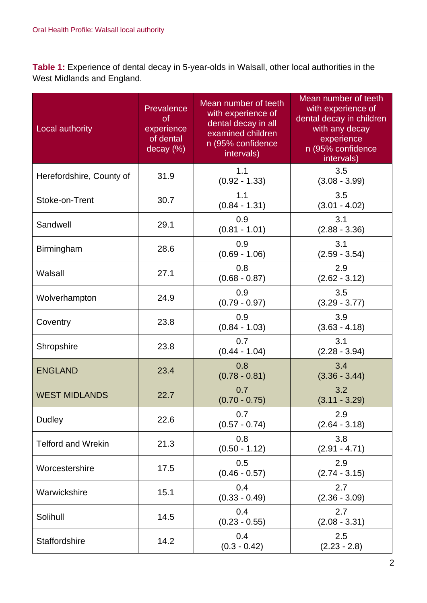**Table 1:** Experience of dental decay in 5-year-olds in Walsall, other local authorities in the West Midlands and England.

| Local authority           | Prevalence<br><b>of</b><br>experience<br>of dental<br>decay (%) | Mean number of teeth<br>with experience of<br>dental decay in all<br>examined children<br>n (95% confidence<br>intervals) | Mean number of teeth<br>with experience of<br>dental decay in children<br>with any decay<br>experience<br>n (95% confidence<br>intervals) |
|---------------------------|-----------------------------------------------------------------|---------------------------------------------------------------------------------------------------------------------------|-------------------------------------------------------------------------------------------------------------------------------------------|
| Herefordshire, County of  | 31.9                                                            | 1.1<br>$(0.92 - 1.33)$                                                                                                    | 3.5<br>$(3.08 - 3.99)$                                                                                                                    |
| Stoke-on-Trent            | 30.7                                                            | 1.1<br>$(0.84 - 1.31)$                                                                                                    | 3.5<br>$(3.01 - 4.02)$                                                                                                                    |
| Sandwell                  | 29.1                                                            | 0.9<br>$(0.81 - 1.01)$                                                                                                    | 3.1<br>$(2.88 - 3.36)$                                                                                                                    |
| Birmingham                | 28.6                                                            | 0.9<br>$(0.69 - 1.06)$                                                                                                    | 3.1<br>$(2.59 - 3.54)$                                                                                                                    |
| Walsall                   | 27.1                                                            | 0.8<br>$(0.68 - 0.87)$                                                                                                    | 2.9<br>$(2.62 - 3.12)$                                                                                                                    |
| Wolverhampton             | 24.9                                                            | 0.9<br>$(0.79 - 0.97)$                                                                                                    | 3.5<br>$(3.29 - 3.77)$                                                                                                                    |
| Coventry                  | 23.8                                                            | 0.9<br>$(0.84 - 1.03)$                                                                                                    | 3.9<br>$(3.63 - 4.18)$                                                                                                                    |
| Shropshire                | 23.8                                                            | 0.7<br>$(0.44 - 1.04)$                                                                                                    | 3.1<br>$(2.28 - 3.94)$                                                                                                                    |
| <b>ENGLAND</b>            | 23.4                                                            | 0.8<br>$(0.78 - 0.81)$                                                                                                    | 3.4<br>$(3.36 - 3.44)$                                                                                                                    |
| <b>WEST MIDLANDS</b>      | 22.7                                                            | 0.7<br>$(0.70 - 0.75)$                                                                                                    | 3.2<br>$(3.11 - 3.29)$                                                                                                                    |
| <b>Dudley</b>             | 22.6                                                            | 0.7<br>$(0.57 - 0.74)$                                                                                                    | 2.9<br>$(2.64 - 3.18)$                                                                                                                    |
| <b>Telford and Wrekin</b> | 21.3                                                            | 0.8<br>$(0.50 - 1.12)$                                                                                                    | 3.8<br>$(2.91 - 4.71)$                                                                                                                    |
| Worcestershire            | 17.5                                                            | 0.5<br>$(0.46 - 0.57)$                                                                                                    | 2.9<br>$(2.74 - 3.15)$                                                                                                                    |
| Warwickshire              | 15.1                                                            | 0.4<br>$(0.33 - 0.49)$                                                                                                    | 2.7<br>$(2.36 - 3.09)$                                                                                                                    |
| Solihull                  | 14.5                                                            | 0.4<br>$(0.23 - 0.55)$                                                                                                    | 2.7<br>$(2.08 - 3.31)$                                                                                                                    |
| Staffordshire             | 14.2                                                            | 0.4<br>$(0.3 - 0.42)$                                                                                                     | 2.5<br>$(2.23 - 2.8)$                                                                                                                     |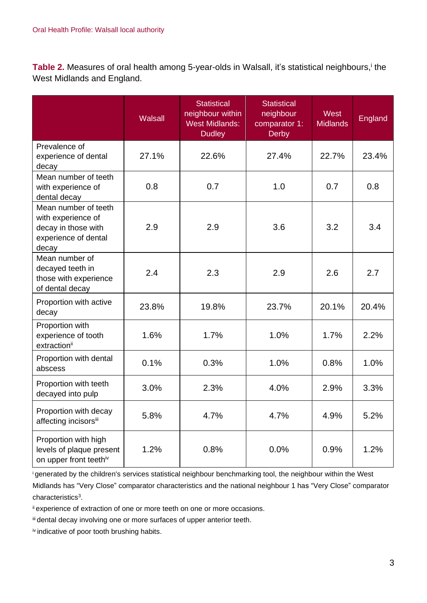Table 2. Measures of oral health among 5-year-olds in Walsall, it's statistical neighbours,<sup>i</sup> the West Midlands and England.

|                                                                                                    | <b>Walsall</b> | <b>Statistical</b><br>neighbour within<br><b>West Midlands:</b><br><b>Dudley</b> | <b>Statistical</b><br>neighbour<br>comparator 1:<br><b>Derby</b> | West<br><b>Midlands</b> | England |
|----------------------------------------------------------------------------------------------------|----------------|----------------------------------------------------------------------------------|------------------------------------------------------------------|-------------------------|---------|
| Prevalence of<br>experience of dental<br>decay                                                     | 27.1%          | 22.6%                                                                            | 27.4%                                                            | 22.7%                   | 23.4%   |
| Mean number of teeth<br>with experience of<br>dental decay                                         | 0.8            | 0.7                                                                              | 1.0                                                              | 0.7                     | 0.8     |
| Mean number of teeth<br>with experience of<br>decay in those with<br>experience of dental<br>decay | 2.9            | 2.9                                                                              | 3.6                                                              | 3.2                     | 3.4     |
| Mean number of<br>decayed teeth in<br>those with experience<br>of dental decay                     | 2.4            | 2.3                                                                              | 2.9                                                              | 2.6                     | 2.7     |
| Proportion with active<br>decay                                                                    | 23.8%          | 19.8%                                                                            | 23.7%                                                            | 20.1%                   | 20.4%   |
| Proportion with<br>experience of tooth<br>extractionii                                             | 1.6%           | 1.7%                                                                             | 1.0%                                                             | 1.7%                    | 2.2%    |
| Proportion with dental<br>abscess                                                                  | 0.1%           | 0.3%                                                                             | 1.0%                                                             | 0.8%                    | 1.0%    |
| Proportion with teeth<br>decayed into pulp                                                         | 3.0%           | 2.3%                                                                             | 4.0%                                                             | 2.9%                    | 3.3%    |
| Proportion with decay<br>affecting incisorsiii                                                     | 5.8%           | 4.7%                                                                             | 4.7%                                                             | 4.9%                    | 5.2%    |
| Proportion with high<br>levels of plaque present<br>on upper front teethiv                         | 1.2%           | 0.8%                                                                             | 0.0%                                                             | 0.9%                    | 1.2%    |

<sup>i</sup>generated by the children's services statistical neighbour benchmarking tool, the neighbour within the West

Midlands has "Very Close" comparator characteristics and the national neighbour 1 has "Very Close" comparator characteristics<sup>3</sup>.

ii experience of extraction of one or more teeth on one or more occasions.

iii dental decay involving one or more surfaces of upper anterior teeth.

iv indicative of poor tooth brushing habits.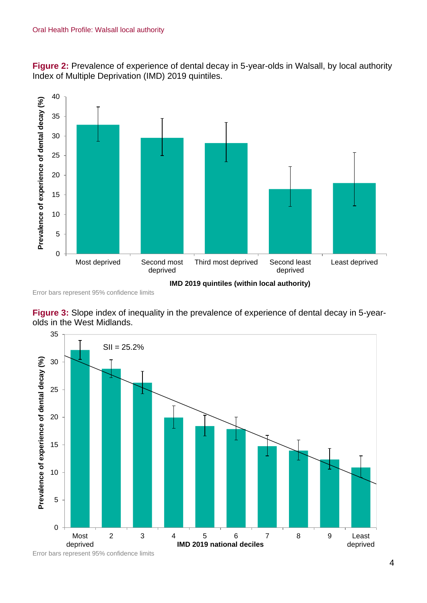**Figure 2:** Prevalence of experience of dental decay in 5-year-olds in Walsall, by local authority Index of Multiple Deprivation (IMD) 2019 quintiles.



Error bars represent 95% confidence limits

**Figure 3:** Slope index of inequality in the prevalence of experience of dental decay in 5-yearolds in the West Midlands.



Error bars represent 95% confidence limits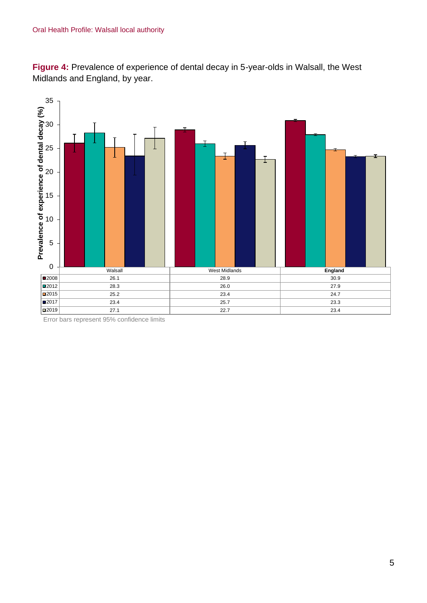**Figure 4:** Prevalence of experience of dental decay in 5-year-olds in Walsall, the West Midlands and England, by year.



Error bars represent 95% confidence limits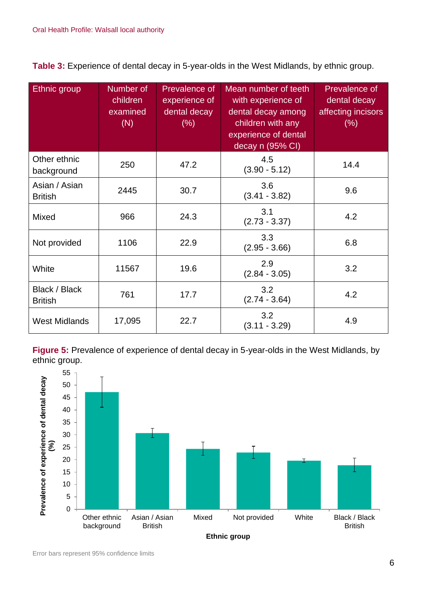**Table 3:** Experience of dental decay in 5-year-olds in the West Midlands, by ethnic group.

| Ethnic group                    | Number of<br>children<br>examined<br>(N) | Prevalence of<br>experience of<br>dental decay<br>(% ) | Mean number of teeth<br>with experience of<br>dental decay among<br>children with any<br>experience of dental<br>decay n (95% CI) | Prevalence of<br>dental decay<br>affecting incisors<br>(% ) |
|---------------------------------|------------------------------------------|--------------------------------------------------------|-----------------------------------------------------------------------------------------------------------------------------------|-------------------------------------------------------------|
| Other ethnic<br>background      | 250                                      | 47.2                                                   | 4.5<br>$(3.90 - 5.12)$                                                                                                            | 14.4                                                        |
| Asian / Asian<br><b>British</b> | 2445                                     | 30.7                                                   | 3.6<br>$(3.41 - 3.82)$                                                                                                            | 9.6                                                         |
| Mixed                           | 966                                      | 24.3                                                   | 3.1<br>$(2.73 - 3.37)$                                                                                                            | 4.2                                                         |
| Not provided                    | 1106                                     | 22.9                                                   | 3.3<br>$(2.95 - 3.66)$                                                                                                            | 6.8                                                         |
| White                           | 11567                                    | 19.6                                                   | 2.9<br>$(2.84 - 3.05)$                                                                                                            | 3.2                                                         |
| Black / Black<br><b>British</b> | 761                                      | 17.7                                                   | 3.2<br>$(2.74 - 3.64)$                                                                                                            | 4.2                                                         |
| <b>West Midlands</b>            | 17,095                                   | 22.7                                                   | 3.2<br>$(3.11 - 3.29)$                                                                                                            | 4.9                                                         |

**Figure 5:** Prevalence of experience of dental decay in 5-year-olds in the West Midlands, by ethnic group.

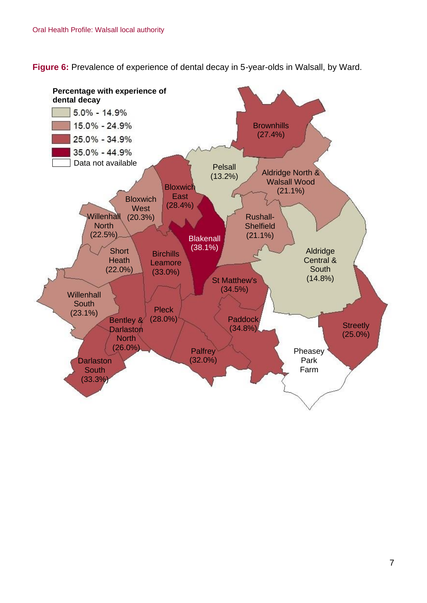**Figure 6:** Prevalence of experience of dental decay in 5-year-olds in Walsall, by Ward.

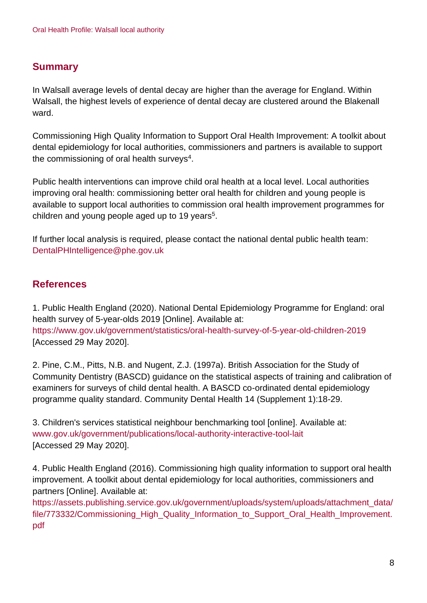## **Summary**

In Walsall average levels of dental decay are higher than the average for England. Within Walsall, the highest levels of experience of dental decay are clustered around the Blakenall ward.

Commissioning High Quality Information to Support Oral Health Improvement: A toolkit about dental epidemiology for local authorities, commissioners and partners is available to support the commissioning of oral health surveys $4$ .

Public health interventions can improve child oral health at a local level. Local authorities improving oral health: commissioning better oral health for children and young people is available to support local authorities to commission oral health improvement programmes for children and young people aged up to 19 years<sup>5</sup>.

If further local analysis is required, please contact the national dental public health team: DentalPHIntelligence@phe.gov.uk

## **References**

1. Public Health England (2020). National Dental Epidemiology Programme for England: oral health survey of 5-year-olds 2019 [Online]. Available at: <https://www.gov.uk/government/statistics/oral-health-survey-of-5-year-old-children-2019> [Accessed 29 May 2020].

2. Pine, C.M., Pitts, N.B. and Nugent, Z.J. (1997a). British Association for the Study of Community Dentistry (BASCD) guidance on the statistical aspects of training and calibration of examiners for surveys of child dental health. A BASCD co-ordinated dental epidemiology programme quality standard. Community Dental Health 14 (Supplement 1):18-29.

3. Children's services statistical neighbour benchmarking tool [online]. Available at: [www.gov.uk/government/publications/local-authority-interactive-tool-lait](http://www.gov.uk/government/publications/local-authority-interactive-tool-lait) [Accessed 29 May 2020].

4. Public Health England (2016). Commissioning high quality information to support oral health improvement. A toolkit about dental epidemiology for local authorities, commissioners and partners [Online]. Available at:

[https://assets.publishing.service.gov.uk/government/uploads/system/uploads/attachment\\_data/](https://assets.publishing.service.gov.uk/government/uploads/system/uploads/attachment_data/file/773332/Commissioning_High_Quality_Information_to_Support_Oral_Health_Improvement.pdf) file/773332/Commissioning High Quality Information to Support Oral Health Improvement. [pdf](https://assets.publishing.service.gov.uk/government/uploads/system/uploads/attachment_data/file/773332/Commissioning_High_Quality_Information_to_Support_Oral_Health_Improvement.pdf)